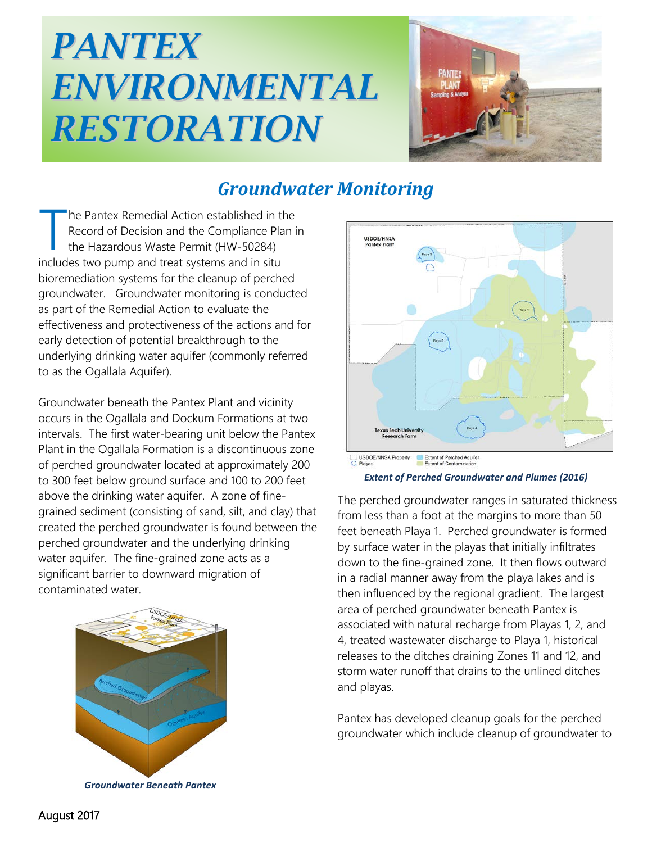## *PANTEX ENVIRONMENTAL RESTORATION*



## *Groundwater Monitoring*

he Pantex Remedial Action established in the Record of Decision and the Compliance Plan in the Hazardous Waste Permit (HW-50284) The Pantex Remedial Action established in the Record of Decision and the Compliance Plant the Hazardous Waste Permit (HW-50284) includes two pump and treat systems and in situ bioremediation systems for the cleanup of perched groundwater. Groundwater monitoring is conducted as part of the Remedial Action to evaluate the effectiveness and protectiveness of the actions and for early detection of potential breakthrough to the underlying drinking water aquifer (commonly referred to as the Ogallala Aquifer).

Groundwater beneath the Pantex Plant and vicinity occurs in the Ogallala and Dockum Formations at two intervals. The first water-bearing unit below the Pantex Plant in the Ogallala Formation is a discontinuous zone of perched groundwater located at approximately 200 to 300 feet below ground surface and 100 to 200 feet above the drinking water aquifer. A zone of finegrained sediment (consisting of sand, silt, and clay) that created the perched groundwater is found between the perched groundwater and the underlying drinking water aquifer. The fine-grained zone acts as a significant barrier to downward migration of contaminated water.



*Groundwater Beneath Pantex*



*Extent of Perched Groundwater and Plumes (2016)*

The perched groundwater ranges in saturated thickness from less than a foot at the margins to more than 50 feet beneath Playa 1. Perched groundwater is formed by surface water in the playas that initially infiltrates down to the fine-grained zone. It then flows outward in a radial manner away from the playa lakes and is then influenced by the regional gradient. The largest area of perched groundwater beneath Pantex is associated with natural recharge from Playas 1, 2, and 4, treated wastewater discharge to Playa 1, historical releases to the ditches draining Zones 11 and 12, and storm water runoff that drains to the unlined ditches and playas.

Pantex has developed cleanup goals for the perched groundwater which include cleanup of groundwater to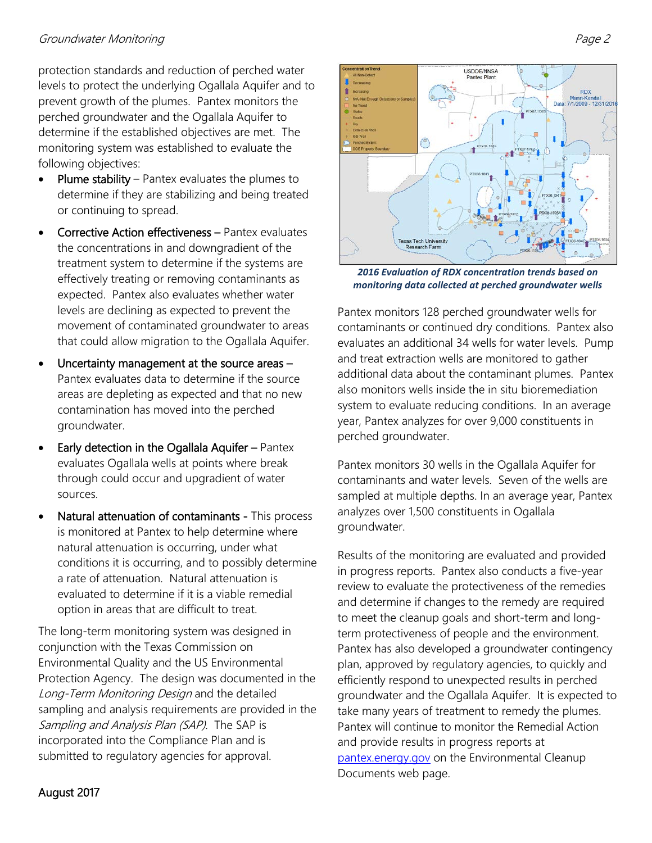protection standards and reduction of perched water levels to protect the underlying Ogallala Aquifer and to prevent growth of the plumes. Pantex monitors the perched groundwater and the Ogallala Aquifer to determine if the established objectives are met. The monitoring system was established to evaluate the following objectives:

- **Plume stability** Pantex evaluates the plumes to determine if they are stabilizing and being treated or continuing to spread.
- Corrective Action effectiveness Pantex evaluates the concentrations in and downgradient of the treatment system to determine if the systems are effectively treating or removing contaminants as expected. Pantex also evaluates whether water levels are declining as expected to prevent the movement of contaminated groundwater to areas that could allow migration to the Ogallala Aquifer.
- Uncertainty management at the source areas -Pantex evaluates data to determine if the source areas are depleting as expected and that no new contamination has moved into the perched groundwater.
- Early detection in the Ogallala Aquifer Pantex evaluates Ogallala wells at points where break through could occur and upgradient of water sources.
- Natural attenuation of contaminants This process is monitored at Pantex to help determine where natural attenuation is occurring, under what conditions it is occurring, and to possibly determine a rate of attenuation. Natural attenuation is evaluated to determine if it is a viable remedial option in areas that are difficult to treat.

The long-term monitoring system was designed in conjunction with the Texas Commission on Environmental Quality and the US Environmental Protection Agency. The design was documented in the Long-Term Monitoring Design and the detailed sampling and analysis requirements are provided in the Sampling and Analysis Plan (SAP). The SAP is incorporated into the Compliance Plan and is submitted to regulatory agencies for approval.



*2016 Evaluation of RDX concentration trends based on monitoring data collected at perched groundwater wells*

Pantex monitors 128 perched groundwater wells for contaminants or continued dry conditions. Pantex also evaluates an additional 34 wells for water levels. Pump and treat extraction wells are monitored to gather additional data about the contaminant plumes. Pantex also monitors wells inside the in situ bioremediation system to evaluate reducing conditions. In an average year, Pantex analyzes for over 9,000 constituents in perched groundwater.

Pantex monitors 30 wells in the Ogallala Aquifer for contaminants and water levels. Seven of the wells are sampled at multiple depths. In an average year, Pantex analyzes over 1,500 constituents in Ogallala groundwater.

Results of the monitoring are evaluated and provided in progress reports. Pantex also conducts a five-year review to evaluate the protectiveness of the remedies and determine if changes to the remedy are required to meet the cleanup goals and short-term and longterm protectiveness of people and the environment. Pantex has also developed a groundwater contingency plan, approved by regulatory agencies, to quickly and efficiently respond to unexpected results in perched groundwater and the Ogallala Aquifer. It is expected to take many years of treatment to remedy the plumes. Pantex will continue to monitor the Remedial Action and provide results in progress reports at [pantex.energy.gov](http://pantex.energy.gov/) on the Environmental Cleanup Documents web page.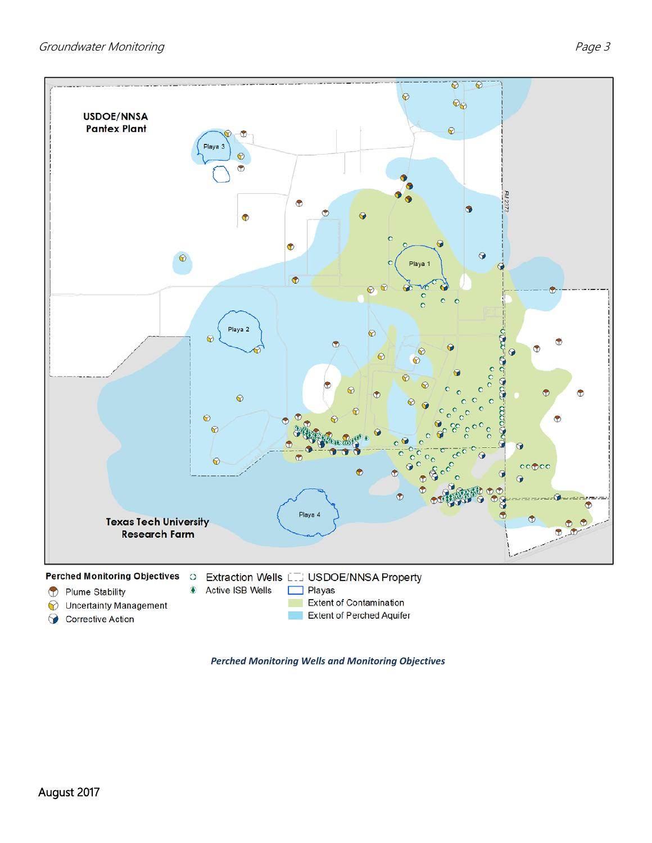

*Perched Monitoring Wells and Monitoring Objectives*